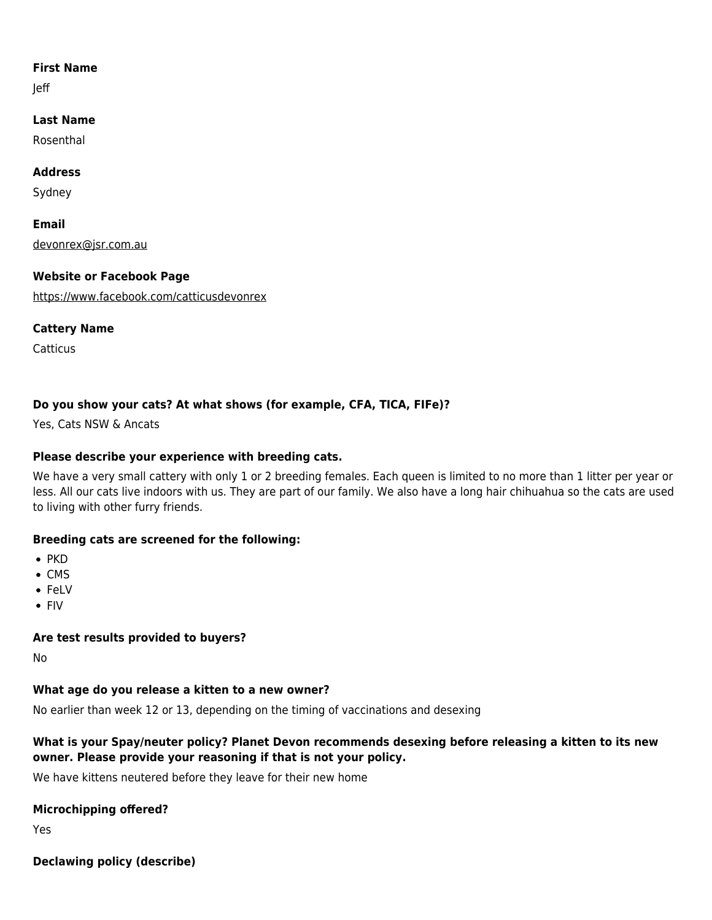#### **First Name**

Jeff

# **Last Name**

Rosenthal

## **Address**

Sydney

**Email** [devonrex@jsr.com.au](mailto:devonrex@jsr.com.au)

## **Website or Facebook Page**

<https://www.facebook.com/catticusdevonrex>

#### **Cattery Name**

**Catticus** 

# **Do you show your cats? At what shows (for example, CFA, TICA, FIFe)?**

Yes, Cats NSW & Ancats

# **Please describe your experience with breeding cats.**

We have a very small cattery with only 1 or 2 breeding females. Each queen is limited to no more than 1 litter per year or less. All our cats live indoors with us. They are part of our family. We also have a long hair chihuahua so the cats are used to living with other furry friends.

## **Breeding cats are screened for the following:**

- $\bullet$  PKD
- $\bullet$  CMS
- FeLV
- FIV

## **Are test results provided to buyers?**

No

## **What age do you release a kitten to a new owner?**

No earlier than week 12 or 13, depending on the timing of vaccinations and desexing

## **What is your Spay/neuter policy? Planet Devon recommends desexing before releasing a kitten to its new owner. Please provide your reasoning if that is not your policy.**

We have kittens neutered before they leave for their new home

#### **Microchipping offered?**

Yes

**Declawing policy (describe)**